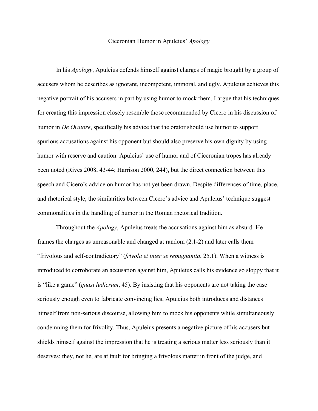## Ciceronian Humor in Apuleius' *Apology*

In his *Apology*, Apuleius defends himself against charges of magic brought by a group of accusers whom he describes as ignorant, incompetent, immoral, and ugly. Apuleius achieves this negative portrait of his accusers in part by using humor to mock them. I argue that his techniques for creating this impression closely resemble those recommended by Cicero in his discussion of humor in *De Oratore*, specifically his advice that the orator should use humor to support spurious accusations against his opponent but should also preserve his own dignity by using humor with reserve and caution. Apuleius' use of humor and of Ciceronian tropes has already been noted (Rives 2008, 43-44; Harrison 2000, 244), but the direct connection between this speech and Cicero's advice on humor has not yet been drawn. Despite differences of time, place, and rhetorical style, the similarities between Cicero's advice and Apuleius' technique suggest commonalities in the handling of humor in the Roman rhetorical tradition.

Throughout the *Apology*, Apuleius treats the accusations against him as absurd. He frames the charges as unreasonable and changed at random (2.1-2) and later calls them "frivolous and self-contradictory" (*frivola et inter se repugnantia*, 25.1). When a witness is introduced to corroborate an accusation against him, Apuleius calls his evidence so sloppy that it is "like a game" (*quasi ludicrum*, 45). By insisting that his opponents are not taking the case seriously enough even to fabricate convincing lies, Apuleius both introduces and distances himself from non-serious discourse, allowing him to mock his opponents while simultaneously condemning them for frivolity. Thus, Apuleius presents a negative picture of his accusers but shields himself against the impression that he is treating a serious matter less seriously than it deserves: they, not he, are at fault for bringing a frivolous matter in front of the judge, and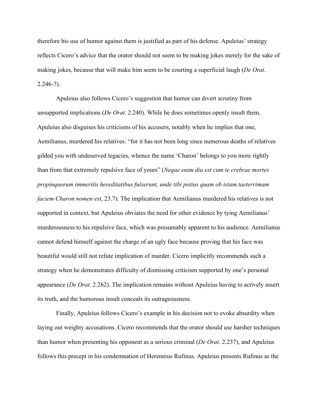therefore his use of humor against them is justified as part of his defense. Apuleius' strategy reflects Cicero's advice that the orator should not seem to be making jokes merely for the sake of making jokes, because that will make him seem to be courting a superficial laugh (*De Orat*.  $2.246 - 7$ ).

Apuleius also follows Cicero's suggestion that humor can divert scrutiny from unsupported implications (*De Orat*. 2.240). While he does sometimes openly insult them, Apuleius also disguises his criticisms of his accusers, notably when he implies that one, Aemilianus, murdered his relatives: "for it has not been long since numerous deaths of relatives gilded you with undeserved legacies, whence the name 'Charon' belongs to you more rightly than from that extremely repulsive face of yours" (*Neque enim diu est cum te crebrae mortes propinquorum immeritis hereditatibus fulserunt, unde tibi potius quam ob istam taeterrimam faciem Charon nomen est*, 23.7). The implication that Aemilianus murdered his relatives is not supported in context, but Apuleius obviates the need for other evidence by tying Aemilianus' murderousness to his repulsive face, which was presumably apparent to his audience. Aemilianus cannot defend himself against the charge of an ugly face because proving that his face was beautiful would still not refute implication of murder. Cicero implicitly recommends such a strategy when he demonstrates difficulty of dismissing criticism supported by one's personal appearance (*De Orat*. 2.262). The implication remains without Apuleius having to actively assert its truth, and the humorous insult conceals its outrageousness.

Finally, Apuleius follows Cicero's example in his decision not to evoke absurdity when laying out weighty accusations. Cicero recommends that the orator should use harsher techniques than humor when presenting his opponent as a serious criminal (*De Orat*. 2.237), and Apuleius follows this precept in his condemnation of Herennius Rufinus. Apuleius presents Rufinus as the